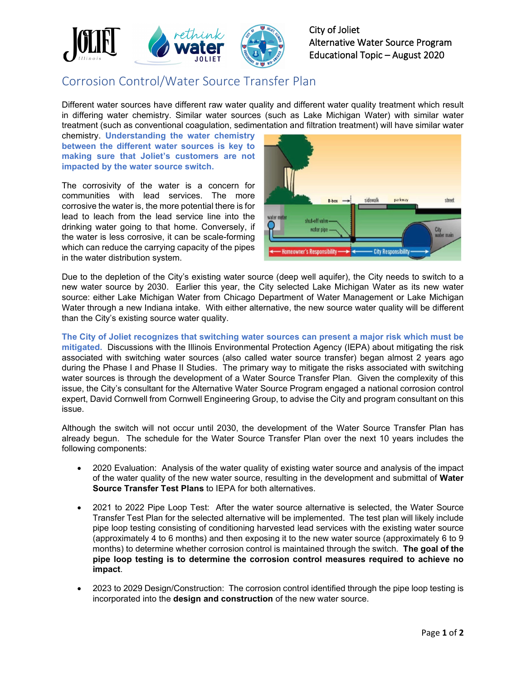

City of Joliet Alternative Water Source Program Educational Topic – August 2020

## Corrosion Control/Water Source Transfer Plan

Different water sources have different raw water quality and different water quality treatment which result in differing water chemistry. Similar water sources (such as Lake Michigan Water) with similar water treatment (such as conventional coagulation, sedimentation and filtration treatment) will have similar water

chemistry. **Understanding the water chemistry between the different water sources is key to making sure that Joliet's customers are not impacted by the water source switch.**

The corrosivity of the water is a concern for communities with lead services. The more corrosive the water is, the more potential there is for lead to leach from the lead service line into the drinking water going to that home. Conversely, if the water is less corrosive, it can be scale-forming which can reduce the carrying capacity of the pipes in the water distribution system.



Due to the depletion of the City's existing water source (deep well aquifer), the City needs to switch to a new water source by 2030. Earlier this year, the City selected Lake Michigan Water as its new water source: either Lake Michigan Water from Chicago Department of Water Management or Lake Michigan Water through a new Indiana intake. With either alternative, the new source water quality will be different than the City's existing source water quality.

**The City of Joliet recognizes that switching water sources can present a major risk which must be mitigated.** Discussions with the Illinois Environmental Protection Agency (IEPA) about mitigating the risk associated with switching water sources (also called water source transfer) began almost 2 years ago during the Phase I and Phase II Studies. The primary way to mitigate the risks associated with switching water sources is through the development of a Water Source Transfer Plan. Given the complexity of this issue, the City's consultant for the Alternative Water Source Program engaged a national corrosion control expert, David Cornwell from Cornwell Engineering Group, to advise the City and program consultant on this issue.

Although the switch will not occur until 2030, the development of the Water Source Transfer Plan has already begun. The schedule for the Water Source Transfer Plan over the next 10 years includes the following components:

- 2020 Evaluation: Analysis of the water quality of existing water source and analysis of the impact of the water quality of the new water source, resulting in the development and submittal of **Water Source Transfer Test Plans** to IEPA for both alternatives.
- 2021 to 2022 Pipe Loop Test: After the water source alternative is selected, the Water Source Transfer Test Plan for the selected alternative will be implemented. The test plan will likely include pipe loop testing consisting of conditioning harvested lead services with the existing water source (approximately 4 to 6 months) and then exposing it to the new water source (approximately 6 to 9 months) to determine whether corrosion control is maintained through the switch. **The goal of the pipe loop testing is to determine the corrosion control measures required to achieve no impact**.
- 2023 to 2029 Design/Construction: The corrosion control identified through the pipe loop testing is incorporated into the **design and construction** of the new water source.